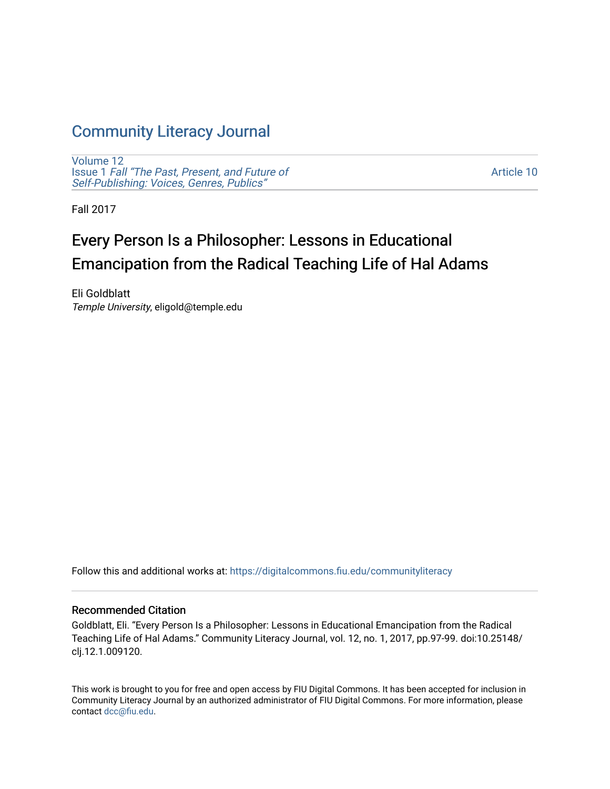## [Community Literacy Journal](https://digitalcommons.fiu.edu/communityliteracy)

[Volume 12](https://digitalcommons.fiu.edu/communityliteracy/vol12) Issue 1 [Fall "The Past, Present, and Future of](https://digitalcommons.fiu.edu/communityliteracy/vol12/iss1) [Self-Publishing: Voices, Genres, Publics"](https://digitalcommons.fiu.edu/communityliteracy/vol12/iss1) 

[Article 10](https://digitalcommons.fiu.edu/communityliteracy/vol12/iss1/10) 

Fall 2017

# Every Person Is a Philosopher: Lessons in Educational Emancipation from the Radical Teaching Life of Hal Adams

Eli Goldblatt Temple University, eligold@temple.edu

Follow this and additional works at: [https://digitalcommons.fiu.edu/communityliteracy](https://digitalcommons.fiu.edu/communityliteracy?utm_source=digitalcommons.fiu.edu%2Fcommunityliteracy%2Fvol12%2Fiss1%2F10&utm_medium=PDF&utm_campaign=PDFCoverPages)

### Recommended Citation

Goldblatt, Eli. "Every Person Is a Philosopher: Lessons in Educational Emancipation from the Radical Teaching Life of Hal Adams." Community Literacy Journal, vol. 12, no. 1, 2017, pp.97-99. doi:10.25148/ clj.12.1.009120.

This work is brought to you for free and open access by FIU Digital Commons. It has been accepted for inclusion in Community Literacy Journal by an authorized administrator of FIU Digital Commons. For more information, please contact [dcc@fiu.edu](mailto:dcc@fiu.edu).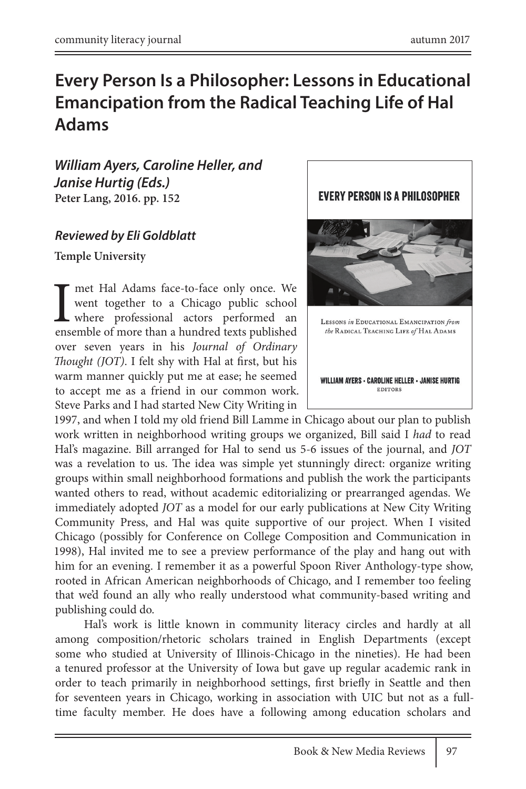### **Every Person Is a Philosopher: Lessons in Educational Emancipation from the Radical Teaching Life of Hal Adams**

*William Ayers, Caroline Heller, and Janise Hurtig (Eds.)*  **Peter Lang, 2016. pp. 152**

### *Reviewed by Eli Goldblatt*

**Temple University**

T met Hal Adams face-to-face only once. We went together to a Chicago public school where professional actors performed an ensemble of more than a hundred texts published went together to a Chicago public school where professional actors performed an ensemble of more than a hundred texts published over seven years in his *Journal of Ordinary Thought (JOT)*. I felt shy with Hal at first, but his warm manner quickly put me at ease; he seemed to accept me as a friend in our common work. Steve Parks and I had started New City Writing in

1997, and when I told my old friend Bill Lamme in Chicago about our plan to publish work written in neighborhood writing groups we organized, Bill said I *had* to read Hal's magazine. Bill arranged for Hal to send us 5-6 issues of the journal, and *JOT* was a revelation to us. The idea was simple yet stunningly direct: organize writing groups within small neighborhood formations and publish the work the participants wanted others to read, without academic editorializing or prearranged agendas. We immediately adopted *JOT* as a model for our early publications at New City Writing Community Press, and Hal was quite supportive of our project. When I visited Chicago (possibly for Conference on College Composition and Communication in 1998), Hal invited me to see a preview performance of the play and hang out with him for an evening. I remember it as a powerful Spoon River Anthology-type show, rooted in African American neighborhoods of Chicago, and I remember too feeling that we'd found an ally who really understood what community-based writing and publishing could do.

Hal's work is little known in community literacy circles and hardly at all among composition/rhetoric scholars trained in English Departments (except some who studied at University of Illinois-Chicago in the nineties). He had been a tenured professor at the University of Iowa but gave up regular academic rank in order to teach primarily in neighborhood settings, first briefly in Seattle and then for seventeen years in Chicago, working in association with UIC but not as a fulltime faculty member. He does have a following among education scholars and

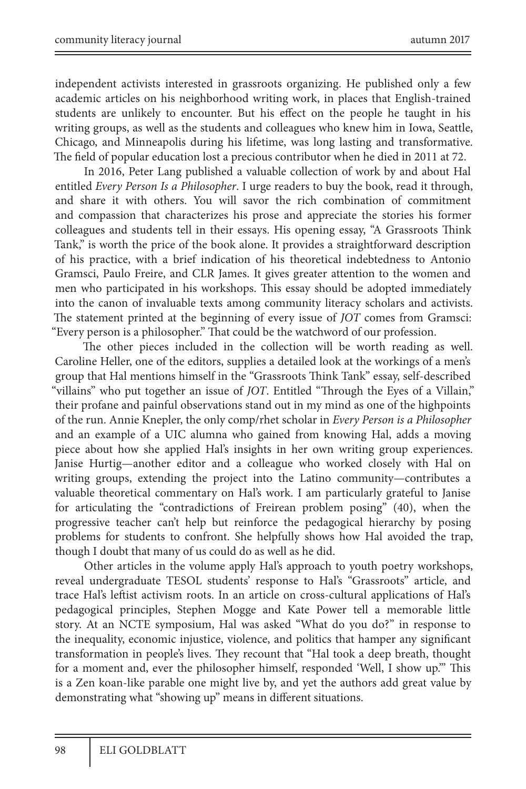independent activists interested in grassroots organizing. He published only a few academic articles on his neighborhood writing work, in places that English-trained students are unlikely to encounter. But his effect on the people he taught in his writing groups, as well as the students and colleagues who knew him in Iowa, Seattle, Chicago, and Minneapolis during his lifetime, was long lasting and transformative. The field of popular education lost a precious contributor when he died in 2011 at 72.

In 2016, Peter Lang published a valuable collection of work by and about Hal entitled *Every Person Is a Philosopher*. I urge readers to buy the book, read it through, and share it with others. You will savor the rich combination of commitment and compassion that characterizes his prose and appreciate the stories his former colleagues and students tell in their essays. His opening essay, "A Grassroots Think Tank," is worth the price of the book alone. It provides a straightforward description of his practice, with a brief indication of his theoretical indebtedness to Antonio Gramsci, Paulo Freire, and CLR James. It gives greater attention to the women and men who participated in his workshops. This essay should be adopted immediately into the canon of invaluable texts among community literacy scholars and activists. The statement printed at the beginning of every issue of *JOT* comes from Gramsci: "Every person is a philosopher." That could be the watchword of our profession.

The other pieces included in the collection will be worth reading as well. Caroline Heller, one of the editors, supplies a detailed look at the workings of a men's group that Hal mentions himself in the "Grassroots Think Tank" essay, self-described "villains" who put together an issue of *JOT*. Entitled "Through the Eyes of a Villain," their profane and painful observations stand out in my mind as one of the highpoints of the run. Annie Knepler, the only comp/rhet scholar in *Every Person is a Philosopher* and an example of a UIC alumna who gained from knowing Hal, adds a moving piece about how she applied Hal's insights in her own writing group experiences. Janise Hurtig—another editor and a colleague who worked closely with Hal on writing groups, extending the project into the Latino community—contributes a valuable theoretical commentary on Hal's work. I am particularly grateful to Janise for articulating the "contradictions of Freirean problem posing" (40), when the progressive teacher can't help but reinforce the pedagogical hierarchy by posing problems for students to confront. She helpfully shows how Hal avoided the trap, though I doubt that many of us could do as well as he did.

Other articles in the volume apply Hal's approach to youth poetry workshops, reveal undergraduate TESOL students' response to Hal's "Grassroots" article, and trace Hal's leftist activism roots. In an article on cross-cultural applications of Hal's pedagogical principles, Stephen Mogge and Kate Power tell a memorable little story. At an NCTE symposium, Hal was asked "What do you do?" in response to the inequality, economic injustice, violence, and politics that hamper any significant transformation in people's lives. They recount that "Hal took a deep breath, thought for a moment and, ever the philosopher himself, responded 'Well, I show up.'" This is a Zen koan-like parable one might live by, and yet the authors add great value by demonstrating what "showing up" means in different situations.